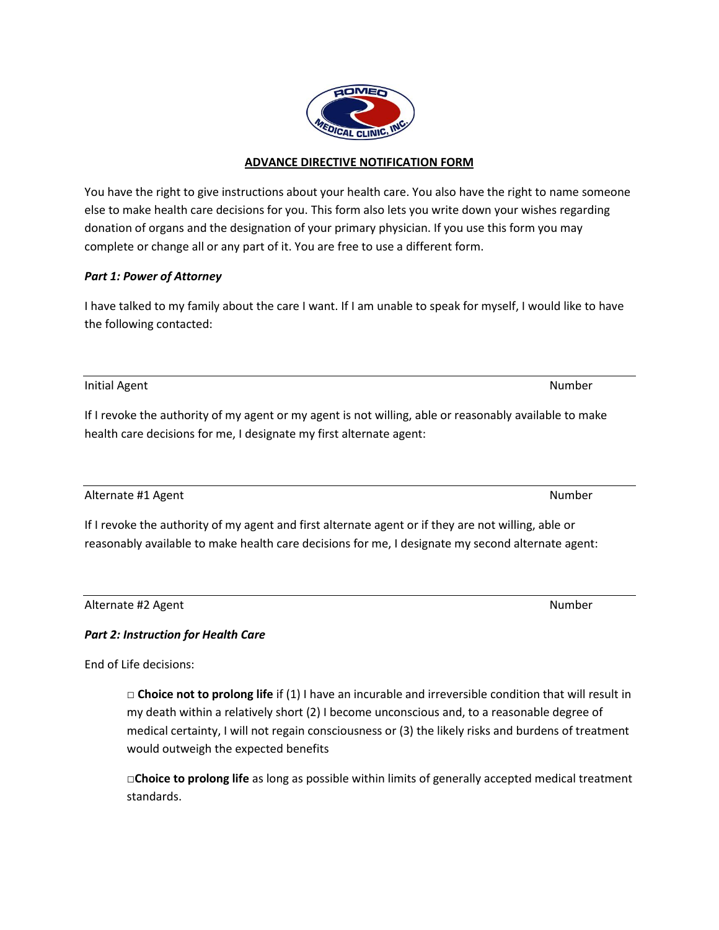## **ADVANCE DIRECTIVE NOTIFICATION FORM**

You have the right to give instructions about your health care. You also have the right to name someone else to make health care decisions for you. This form also lets you write down your wishes regarding donation of organs and the designation of your primary physician. If you use this form you may complete or change all or any part of it. You are free to use a different form.

## *Part 1: Power of Attorney*

I have talked to my family about the care I want. If I am unable to speak for myself, I would like to have the following contacted:

Initial Agent Number

If I revoke the authority of my agent or my agent is not willing, able or reasonably available to make health care decisions for me, I designate my first alternate agent:

Alternate #1 Agent Number Number Number Number Number Number Number Number Number Number Number Number Number

If I revoke the authority of my agent and first alternate agent or if they are not willing, able or reasonably available to make health care decisions for me, I designate my second alternate agent:

Alternate #2 Agent Number Number 1 and 1 and 1 and 1 and 1 and 1 and 1 and 1 and 1 and 1 and 1 and 1 and 1 and 1 and 1 and 1 and 1 and 1 and 1 and 1 and 1 and 1 and 1 and 1 and 1 and 1 and 1 and 1 and 1 and 1 and 1 and 1 a

## *Part 2: Instruction for Health Care*

End of Life decisions:

□ **Choice not to prolong life** if (1) I have an incurable and irreversible condition that will result in my death within a relatively short (2) I become unconscious and, to a reasonable degree of medical certainty, I will not regain consciousness or (3) the likely risks and burdens of treatment would outweigh the expected benefits

□**Choice to prolong life** as long as possible within limits of generally accepted medical treatment standards.

**AOMEO**